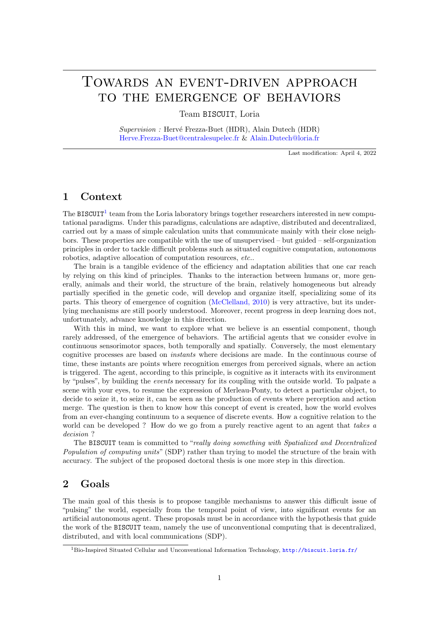# Towards an event-driven approach to the emergence of behaviors

Team BISCUIT, Loria

Supervision : Hervé Frezza-Buet (HDR), Alain Dutech (HDR) [Herve.Frezza-Buet@centralesupelec.fr](mailto:Herve.Frezza-Buet@centralesupelec.fr) & [Alain.Dutech@loria.fr](mailto:Alain.Dutech@loria.fr)

Last modification: April 4, 2022

#### 1 Context

The BISCUIT<sup>[1](#page-0-0)</sup> team from the Loria laboratory brings together researchers interested in new computational paradigms. Under this paradigms, calculations are adaptive, distributed and decentralized, carried out by a mass of simple calculation units that communicate mainly with their close neighbors. These properties are compatible with the use of unsupervised – but guided – self-organization principles in order to tackle difficult problems such as situated cognitive computation, autonomous robotics, adaptive allocation of computation resources, etc...

The brain is a tangible evidence of the efficiency and adaptation abilities that one car reach by relying on this kind of principles. Thanks to the interaction between humans or, more generally, animals and their world, the structure of the brain, relatively homogeneous but already partially specified in the genetic code, will develop and organize itself, specializing some of its parts. This theory of emergence of cognition [\(McClelland, 2010\)](#page-1-0) is very attractive, but its underlying mechanisms are still poorly understood. Moreover, recent progress in deep learning does not, unfortunately, advance knowledge in this direction.

With this in mind, we want to explore what we believe is an essential component, though rarely addressed, of the emergence of behaviors. The artificial agents that we consider evolve in continuous sensorimotor spaces, both temporally and spatially. Conversely, the most elementary cognitive processes are based on instants where decisions are made. In the continuous course of time, these instants are points where recognition emerges from perceived signals, where an action is triggered. The agent, according to this principle, is cognitive as it interacts with its environment by "pulses", by building the events necessary for its coupling with the outside world. To palpate a scene with your eyes, to resume the expression of Merleau-Ponty, to detect a particular object, to decide to seize it, to seize it, can be seen as the production of events where perception and action merge. The question is then to know how this concept of event is created, how the world evolves from an ever-changing continuum to a sequence of discrete events. How a cognitive relation to the world can be developed? How do we go from a purely reactive agent to an agent that takes a decision ?

The BISCUIT team is committed to "really doing something with Spatialized and Decentralized Population of computing units" (SDP) rather than trying to model the structure of the brain with accuracy. The subject of the proposed doctoral thesis is one more step in this direction.

## 2 Goals

The main goal of this thesis is to propose tangible mechanisms to answer this difficult issue of "pulsing" the world, especially from the temporal point of view, into significant events for an artificial autonomous agent. These proposals must be in accordance with the hypothesis that guide the work of the BISCUIT team, namely the use of unconventional computing that is decentralized, distributed, and with local communications (SDP).

<span id="page-0-0"></span><sup>1</sup>Bio-Inspired Situated Cellular and Unconventional Information Technology, <http://biscuit.loria.fr/>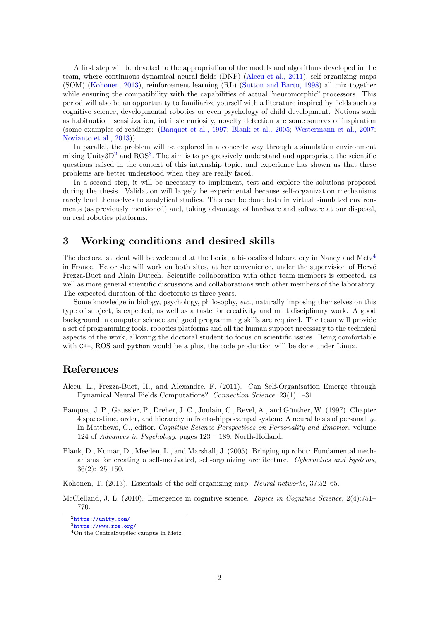A first step will be devoted to the appropriation of the models and algorithms developed in the team, where continuous dynamical neural fields (DNF) [\(Alecu et al., 2011\)](#page-1-1), self-organizing maps (SOM) [\(Kohonen, 2013\)](#page-1-2), reinforcement learning (RL) [\(Sutton and Barto, 1998\)](#page-2-0) all mix together while ensuring the compatibility with the capabilities of actual "neuromorphic" processors. This period will also be an opportunity to familiarize yourself with a literature inspired by fields such as cognitive science, developmental robotics or even psychology of child development. Notions such as habituation, sensitization, intrinsic curiosity, novelty detection are some sources of inspiration (some examples of readings: [\(Banquet et al., 1997;](#page-1-3) [Blank et al., 2005;](#page-1-4) [Westermann et al., 2007;](#page-2-1) [Novianto et al., 2013\)](#page-2-2)).

In parallel, the problem will be explored in a concrete way through a simulation environment mixing Unity $3D^2$  $3D^2$  and ROS<sup>[3](#page-1-6)</sup>. The aim is to progressively understand and appropriate the scientific questions raised in the context of this internship topic, and experience has shown us that these problems are better understood when they are really faced.

In a second step, it will be necessary to implement, test and explore the solutions proposed during the thesis. Validation will largely be experimental because self-organization mechanisms rarely lend themselves to analytical studies. This can be done both in virtual simulated environments (as previously mentioned) and, taking advantage of hardware and software at our disposal, on real robotics platforms.

#### 3 Working conditions and desired skills

The doctoral student will be welcomed at the Loria, a bi-localized laboratory in Nancy and Metz[4](#page-1-7) in France. He or she will work on both sites, at her convenience, under the supervision of Hervé Frezza-Buet and Alain Dutech. Scientific collaboration with other team members is expected, as well as more general scientific discussions and collaborations with other members of the laboratory. The expected duration of the doctorate is three years.

Some knowledge in biology, psychology, philosophy, etc., naturally imposing themselves on this type of subject, is expected, as well as a taste for creativity and multidisciplinary work. A good background in computer science and good programming skills are required. The team will provide a set of programming tools, robotics platforms and all the human support necessary to the technical aspects of the work, allowing the doctoral student to focus on scientific issues. Being comfortable with C<sup>++</sup>, ROS and python would be a plus, the code production will be done under Linux.

### References

- <span id="page-1-1"></span>Alecu, L., Frezza-Buet, H., and Alexandre, F. (2011). Can Self-Organisation Emerge through Dynamical Neural Fields Computations? Connection Science, 23(1):1–31.
- <span id="page-1-3"></span>Banquet, J. P., Gaussier, P., Dreher, J. C., Joulain, C., Revel, A., and Gunther, W. (1997). Chapter ¨ 4 space-time, order, and hierarchy in fronto-hippocampal system: A neural basis of personality. In Matthews, G., editor, Cognitive Science Perspectives on Personality and Emotion, volume 124 of Advances in Psychology, pages 123 – 189. North-Holland.
- <span id="page-1-4"></span>Blank, D., Kumar, D., Meeden, L., and Marshall, J. (2005). Bringing up robot: Fundamental mechanisms for creating a self-motivated, self-organizing architecture. Cybernetics and Systems, 36(2):125–150.

<span id="page-1-2"></span>Kohonen, T. (2013). Essentials of the self-organizing map. Neural networks, 37:52–65.

<span id="page-1-0"></span>McClelland, J. L. (2010). Emergence in cognitive science. Topics in Cognitive Science, 2(4):751– 770.

<span id="page-1-5"></span><sup>2</sup><https://unity.com/>

<span id="page-1-6"></span><sup>3</sup><https://www.ros.org/>

<span id="page-1-7"></span> $4$ On the CentralSupélec campus in Metz.